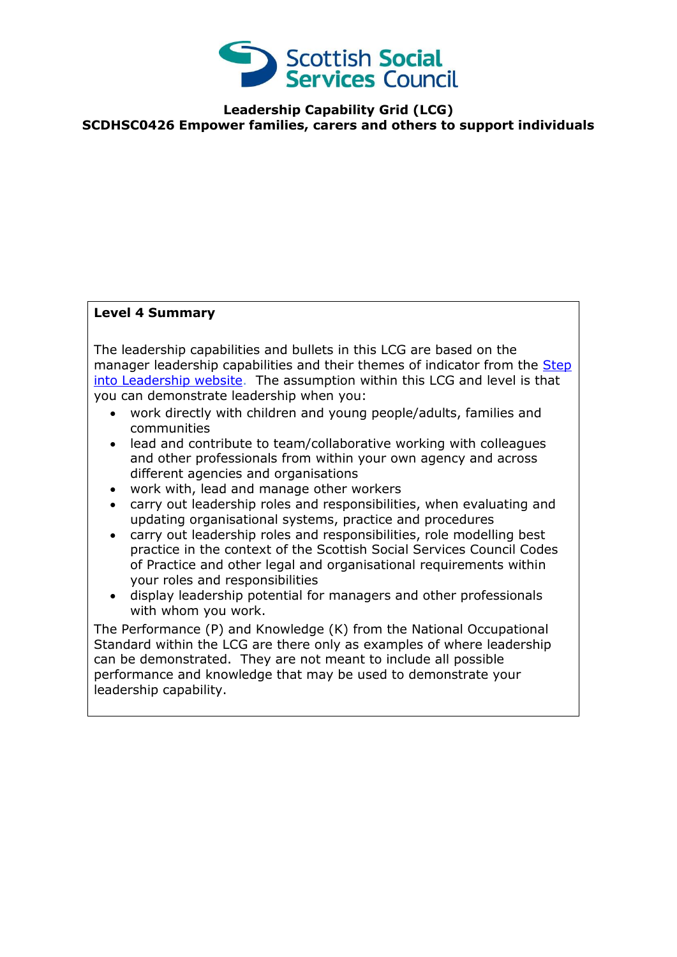

**Leadership Capability Grid (LCG) SCDHSC0426 Empower families, carers and others to support individuals**

## **Level 4 Summary**

The leadership capabilities and bullets in this LCG are based on the manager leadership capabilities and their themes of indicator from the Step [into Leadership website.](http://www.stepintoleadership.info/) The assumption within this LCG and level is that you can demonstrate leadership when you:

- work directly with children and young people/adults, families and communities
- lead and contribute to team/collaborative working with colleagues and other professionals from within your own agency and across different agencies and organisations
- work with, lead and manage other workers
- carry out leadership roles and responsibilities, when evaluating and updating organisational systems, practice and procedures
- carry out leadership roles and responsibilities, role modelling best practice in the context of the Scottish Social Services Council Codes of Practice and other legal and organisational requirements within your roles and responsibilities
- display leadership potential for managers and other professionals with whom you work.

The Performance (P) and Knowledge (K) from the National Occupational Standard within the LCG are there only as examples of where leadership can be demonstrated. They are not meant to include all possible performance and knowledge that may be used to demonstrate your leadership capability.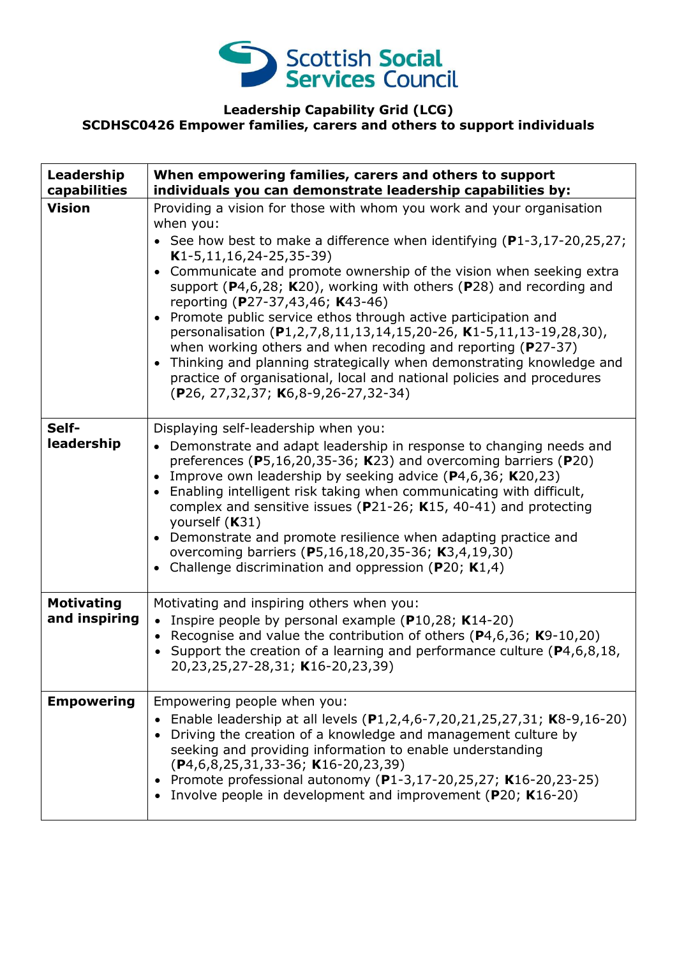

## **Leadership Capability Grid (LCG) SCDHSC0426 Empower families, carers and others to support individuals**

| Leadership<br>capabilities         | When empowering families, carers and others to support<br>individuals you can demonstrate leadership capabilities by:                                                                                                                                                                                                                                                                                                                                                                                                                                                                                                                                                                                                                                                                                                           |
|------------------------------------|---------------------------------------------------------------------------------------------------------------------------------------------------------------------------------------------------------------------------------------------------------------------------------------------------------------------------------------------------------------------------------------------------------------------------------------------------------------------------------------------------------------------------------------------------------------------------------------------------------------------------------------------------------------------------------------------------------------------------------------------------------------------------------------------------------------------------------|
| <b>Vision</b>                      | Providing a vision for those with whom you work and your organisation<br>when you:<br>• See how best to make a difference when identifying $(P1-3, 17-20, 25, 27)$ ;<br>$K1-5, 11, 16, 24-25, 35-39)$<br>Communicate and promote ownership of the vision when seeking extra<br>$\bullet$<br>support ( $P4,6,28$ ; K20), working with others ( $P28$ ) and recording and<br>reporting (P27-37,43,46; K43-46)<br>Promote public service ethos through active participation and<br>personalisation (P1,2,7,8,11,13,14,15,20-26, K1-5,11,13-19,28,30),<br>when working others and when recoding and reporting (P27-37)<br>Thinking and planning strategically when demonstrating knowledge and<br>$\bullet$<br>practice of organisational, local and national policies and procedures<br>$(P26, 27, 32, 37; K6, 8-9, 26-27, 32-34)$ |
| Self-<br>leadership                | Displaying self-leadership when you:<br>• Demonstrate and adapt leadership in response to changing needs and<br>preferences (P5,16,20,35-36; K23) and overcoming barriers (P20)<br>Improve own leadership by seeking advice $(P4, 6, 36; K20, 23)$<br>$\bullet$<br>Enabling intelligent risk taking when communicating with difficult,<br>$\bullet$<br>complex and sensitive issues ( $P$ 21-26; K15, 40-41) and protecting<br>yourself (K31)<br>Demonstrate and promote resilience when adapting practice and<br>$\bullet$<br>overcoming barriers (P5,16,18,20,35-36; K3,4,19,30)<br>Challenge discrimination and oppression ( $P20$ ; K1,4)                                                                                                                                                                                   |
| <b>Motivating</b><br>and inspiring | Motivating and inspiring others when you:<br>• Inspire people by personal example (P10,28; K14-20)<br>• Recognise and value the contribution of others ( $P$ 4,6,36; K9-10,20)<br>• Support the creation of a learning and performance culture ( $P4, 6, 8, 18$ ,<br>20,23,25,27-28,31; K16-20,23,39)                                                                                                                                                                                                                                                                                                                                                                                                                                                                                                                           |
| <b>Empowering</b>                  | Empowering people when you:<br>• Enable leadership at all levels $(P1, 2, 4, 6-7, 20, 21, 25, 27, 31; K8-9, 16-20)$<br>Driving the creation of a knowledge and management culture by<br>seeking and providing information to enable understanding<br>$(P4, 6, 8, 25, 31, 33 - 36; K16 - 20, 23, 39)$<br>Promote professional autonomy (P1-3,17-20,25,27; K16-20,23-25)<br>Involve people in development and improvement (P20; K16-20)                                                                                                                                                                                                                                                                                                                                                                                           |